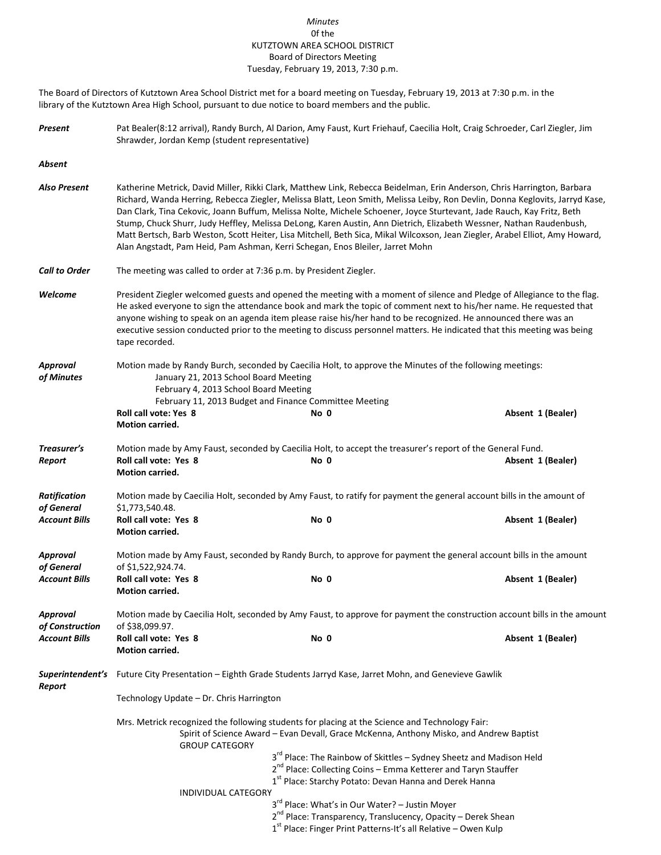## *Minutes* 0f the KUTZTOWN AREA SCHOOL DISTRICT Board of Directors Meeting Tuesday, February 19, 2013, 7:30 p.m.

The Board of Directors of Kutztown Area School District met for a board meeting on Tuesday, February 19, 2013 at 7:30 p.m. in the library of the Kutztown Area High School, pursuant to due notice to board members and the public.

| Present | Pat Bealer(8:12 arrival), Randy Burch, Al Darion, Amy Faust, Kurt Friehauf, Caecilia Holt, Craig Schroeder, Carl Ziegler, Jim |
|---------|-------------------------------------------------------------------------------------------------------------------------------|
|         | Shrawder, Jordan Kemp (student representative)                                                                                |

*Absent*

- *Also Present* Katherine Metrick, David Miller, Rikki Clark, Matthew Link, Rebecca Beidelman, Erin Anderson, Chris Harrington, Barbara Richard, Wanda Herring, Rebecca Ziegler, Melissa Blatt, Leon Smith, Melissa Leiby, Ron Devlin, Donna Keglovits, Jarryd Kase, Dan Clark, Tina Cekovic, Joann Buffum, Melissa Nolte, Michele Schoener, Joyce Sturtevant, Jade Rauch, Kay Fritz, Beth Stump, Chuck Shurr, Judy Heffley, Melissa DeLong, Karen Austin, Ann Dietrich, Elizabeth Wessner, Nathan Raudenbush, Matt Bertsch, Barb Weston, Scott Heiter, Lisa Mitchell, Beth Sica, Mikal Wilcoxson, Jean Ziegler, Arabel Elliot, Amy Howard, Alan Angstadt, Pam Heid, Pam Ashman, Kerri Schegan, Enos Bleiler, Jarret Mohn
- *Call to Order* The meeting was called to order at 7:36 p.m. by President Ziegler.
- *Welcome* President Ziegler welcomed guests and opened the meeting with a moment of silence and Pledge of Allegiance to the flag. He asked everyone to sign the attendance book and mark the topic of comment next to his/her name. He requested that anyone wishing to speak on an agenda item please raise his/her hand to be recognized. He announced there was an executive session conducted prior to the meeting to discuss personnel matters. He indicated that this meeting was being tape recorded.
- *Approval* Motion made by Randy Burch, seconded by Caecilia Holt, to approve the Minutes of the following meetings: *of Minutes* January 21, 2013 School Board Meeting February 4, 2013 School Board Meeting February 11, 2013 Budget and Finance Committee Meeting **Roll call vote: Yes 8 No 0 Absent 1 (Bealer) Motion carried.** *Treasurer's* Motion made by Amy Faust, seconded by Caecilia Holt, to accept the treasurer's report of the General Fund. *Report* **Roll call vote: Yes 8 No 0 Absent 1 (Bealer) Motion carried.** *Ratification* Motion made by Caecilia Holt, seconded by Amy Faust, to ratify for payment the general account bills in the amount of *of General* \$1,773,540.48. *Account Bills* **Roll call vote: Yes 8 No 0 Absent 1 (Bealer) Motion carried.** *Approval* Motion made by Amy Faust, seconded by Randy Burch, to approve for payment the general account bills in the amount *of General* of \$1,522,924.74. *Account Bills* **Roll call vote: Yes 8 No 0 Absent 1 (Bealer) Motion carried.** *Approval* Motion made by Caecilia Holt, seconded by Amy Faust, to approve for payment the construction account bills in the amount *of Construction* of \$38,099.97. *Account Bills* **Roll call vote: Yes 8 No 0 Absent 1 (Bealer) Motion carried.** *Superintendent's* Future City Presentation – Eighth Grade Students Jarryd Kase, Jarret Mohn, and Genevieve Gawlik *Report* Technology Update – Dr. Chris Harrington

Mrs. Metrick recognized the following students for placing at the Science and Technology Fair: Spirit of Science Award – Evan Devall, Grace McKenna, Anthony Misko, and Andrew Baptist GROUP CATEGORY

- 3<sup>rd</sup> Place: The Rainbow of Skittles Sydney Sheetz and Madison Held
- 2<sup>nd</sup> Place: Collecting Coins Emma Ketterer and Taryn Stauffer 1<sup>st</sup> Place: Starchy Potato: Devan Hanna and Derek Hanna

INDIVIDUAL CATEGORY

- 3<sup>rd</sup> Place: What's in Our Water? Justin Moyer
- 2<sup>nd</sup> Place: Transparency, Translucency, Opacity Derek Shean
- 1<sup>st</sup> Place: Finger Print Patterns-It's all Relative Owen Kulp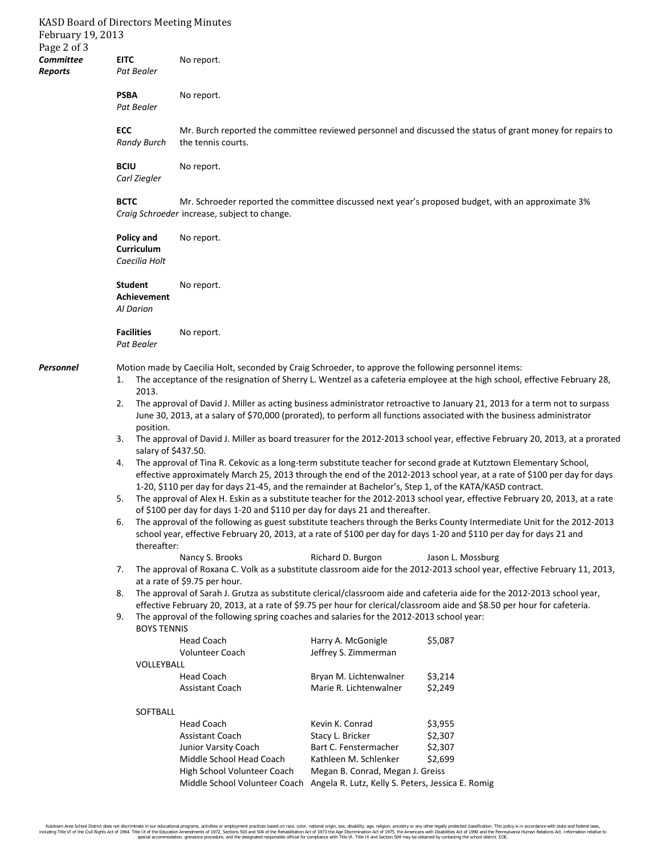| February 19, 2013<br>Page 2 of 3 |                                                             | KASD Board of Directors Meeting Minutes                                                                                                                                                                                                                                                                                                                                                                                                                                                                                                                                                                                                                                                                                                                                                                                                                                                                                                                                                                                                                                                                                                                                                                                                                                                                                                                                                                                                                                                                                                                                                                                                                                                                                                                                                                                                                                                                                                                                                      |                                                                                                                                                                                                                             |                                                                                                            |  |  |  |
|----------------------------------|-------------------------------------------------------------|----------------------------------------------------------------------------------------------------------------------------------------------------------------------------------------------------------------------------------------------------------------------------------------------------------------------------------------------------------------------------------------------------------------------------------------------------------------------------------------------------------------------------------------------------------------------------------------------------------------------------------------------------------------------------------------------------------------------------------------------------------------------------------------------------------------------------------------------------------------------------------------------------------------------------------------------------------------------------------------------------------------------------------------------------------------------------------------------------------------------------------------------------------------------------------------------------------------------------------------------------------------------------------------------------------------------------------------------------------------------------------------------------------------------------------------------------------------------------------------------------------------------------------------------------------------------------------------------------------------------------------------------------------------------------------------------------------------------------------------------------------------------------------------------------------------------------------------------------------------------------------------------------------------------------------------------------------------------------------------------|-----------------------------------------------------------------------------------------------------------------------------------------------------------------------------------------------------------------------------|------------------------------------------------------------------------------------------------------------|--|--|--|
| <b>Committee</b><br>Reports      | <b>EITC</b><br>Pat Bealer                                   | No report.                                                                                                                                                                                                                                                                                                                                                                                                                                                                                                                                                                                                                                                                                                                                                                                                                                                                                                                                                                                                                                                                                                                                                                                                                                                                                                                                                                                                                                                                                                                                                                                                                                                                                                                                                                                                                                                                                                                                                                                   |                                                                                                                                                                                                                             |                                                                                                            |  |  |  |
|                                  | <b>PSBA</b><br>Pat Bealer                                   | No report.                                                                                                                                                                                                                                                                                                                                                                                                                                                                                                                                                                                                                                                                                                                                                                                                                                                                                                                                                                                                                                                                                                                                                                                                                                                                                                                                                                                                                                                                                                                                                                                                                                                                                                                                                                                                                                                                                                                                                                                   |                                                                                                                                                                                                                             |                                                                                                            |  |  |  |
|                                  | <b>ECC</b><br><b>Randy Burch</b>                            | the tennis courts.                                                                                                                                                                                                                                                                                                                                                                                                                                                                                                                                                                                                                                                                                                                                                                                                                                                                                                                                                                                                                                                                                                                                                                                                                                                                                                                                                                                                                                                                                                                                                                                                                                                                                                                                                                                                                                                                                                                                                                           |                                                                                                                                                                                                                             | Mr. Burch reported the committee reviewed personnel and discussed the status of grant money for repairs to |  |  |  |
|                                  | <b>BCIU</b><br>Carl Ziegler                                 | No report.                                                                                                                                                                                                                                                                                                                                                                                                                                                                                                                                                                                                                                                                                                                                                                                                                                                                                                                                                                                                                                                                                                                                                                                                                                                                                                                                                                                                                                                                                                                                                                                                                                                                                                                                                                                                                                                                                                                                                                                   |                                                                                                                                                                                                                             |                                                                                                            |  |  |  |
|                                  | <b>BCTC</b>                                                 | Craig Schroeder increase, subject to change.                                                                                                                                                                                                                                                                                                                                                                                                                                                                                                                                                                                                                                                                                                                                                                                                                                                                                                                                                                                                                                                                                                                                                                                                                                                                                                                                                                                                                                                                                                                                                                                                                                                                                                                                                                                                                                                                                                                                                 |                                                                                                                                                                                                                             | Mr. Schroeder reported the committee discussed next year's proposed budget, with an approximate 3%         |  |  |  |
|                                  | <b>Policy and</b><br><b>Curriculum</b><br>Caecilia Holt     | No report.                                                                                                                                                                                                                                                                                                                                                                                                                                                                                                                                                                                                                                                                                                                                                                                                                                                                                                                                                                                                                                                                                                                                                                                                                                                                                                                                                                                                                                                                                                                                                                                                                                                                                                                                                                                                                                                                                                                                                                                   |                                                                                                                                                                                                                             |                                                                                                            |  |  |  |
|                                  | <b>Student</b><br>Achievement<br><b>Al Darion</b>           | No report.                                                                                                                                                                                                                                                                                                                                                                                                                                                                                                                                                                                                                                                                                                                                                                                                                                                                                                                                                                                                                                                                                                                                                                                                                                                                                                                                                                                                                                                                                                                                                                                                                                                                                                                                                                                                                                                                                                                                                                                   |                                                                                                                                                                                                                             |                                                                                                            |  |  |  |
|                                  | <b>Facilities</b><br>Pat Bealer                             | No report.                                                                                                                                                                                                                                                                                                                                                                                                                                                                                                                                                                                                                                                                                                                                                                                                                                                                                                                                                                                                                                                                                                                                                                                                                                                                                                                                                                                                                                                                                                                                                                                                                                                                                                                                                                                                                                                                                                                                                                                   |                                                                                                                                                                                                                             |                                                                                                            |  |  |  |
| Personnel                        | 1.<br>2013.<br>2.<br>3.<br>4.<br>5.<br>6.<br>7.<br>8.<br>9. | Motion made by Caecilia Holt, seconded by Craig Schroeder, to approve the following personnel items:<br>The acceptance of the resignation of Sherry L. Wentzel as a cafeteria employee at the high school, effective February 28,<br>The approval of David J. Miller as acting business administrator retroactive to January 21, 2013 for a term not to surpass<br>June 30, 2013, at a salary of \$70,000 (prorated), to perform all functions associated with the business administrator<br>position.<br>The approval of David J. Miller as board treasurer for the 2012-2013 school year, effective February 20, 2013, at a prorated<br>salary of \$437.50.<br>The approval of Tina R. Cekovic as a long-term substitute teacher for second grade at Kutztown Elementary School,<br>effective approximately March 25, 2013 through the end of the 2012-2013 school year, at a rate of \$100 per day for days<br>1-20, \$110 per day for days 21-45, and the remainder at Bachelor's, Step 1, of the KATA/KASD contract.<br>The approval of Alex H. Eskin as a substitute teacher for the 2012-2013 school year, effective February 20, 2013, at a rate<br>of \$100 per day for days 1-20 and \$110 per day for days 21 and thereafter.<br>The approval of the following as guest substitute teachers through the Berks County Intermediate Unit for the 2012-2013<br>school year, effective February 20, 2013, at a rate of \$100 per day for days 1-20 and \$110 per day for days 21 and<br>thereafter:<br>Nancy S. Brooks<br>Richard D. Burgon<br>Jason L. Mossburg<br>The approval of Roxana C. Volk as a substitute classroom aide for the 2012-2013 school year, effective February 11, 2013,<br>at a rate of \$9.75 per hour.<br>The approval of Sarah J. Grutza as substitute clerical/classroom aide and cafeteria aide for the 2012-2013 school year,<br>effective February 20, 2013, at a rate of \$9.75 per hour for clerical/classroom aide and \$8.50 per hour for cafeteria. |                                                                                                                                                                                                                             |                                                                                                            |  |  |  |
|                                  | <b>BOYS TENNIS</b><br>VOLLEYBALL<br>SOFTBALL                | The approval of the following spring coaches and salaries for the 2012-2013 school year:<br><b>Head Coach</b><br>Volunteer Coach<br><b>Head Coach</b><br>Assistant Coach<br><b>Head Coach</b><br><b>Assistant Coach</b><br>Junior Varsity Coach<br>Middle School Head Coach<br>High School Volunteer Coach                                                                                                                                                                                                                                                                                                                                                                                                                                                                                                                                                                                                                                                                                                                                                                                                                                                                                                                                                                                                                                                                                                                                                                                                                                                                                                                                                                                                                                                                                                                                                                                                                                                                                   | Harry A. McGonigle<br>Jeffrey S. Zimmerman<br>Bryan M. Lichtenwalner<br>Marie R. Lichtenwalner<br>Kevin K. Conrad<br>Stacy L. Bricker<br>Bart C. Fenstermacher<br>Kathleen M. Schlenker<br>Megan B. Conrad, Megan J. Greiss | \$5,087<br>\$3,214<br>\$2,249<br>\$3,955<br>\$2,307<br>\$2,307<br>\$2,699                                  |  |  |  |